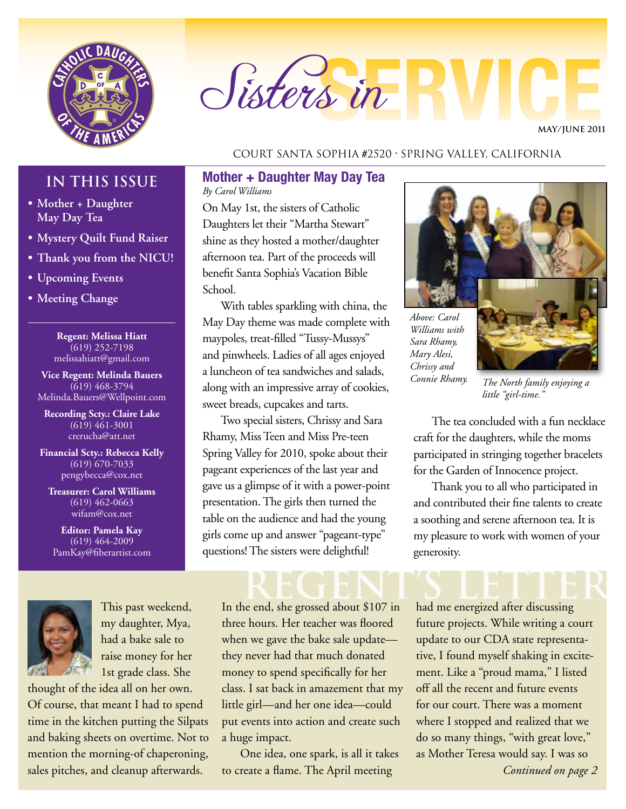

## Sisters in

**MAY/JUNE 2011**

#### Court Santa Sophia #2520 • Spring Valley, California

#### **Mother + Daughter May Day Tea**

*By Carol Williams*

On May 1st, the sisters of Catholic Daughters let their "Martha Stewart" shine as they hosted a mother/daughter afternoon tea. Part of the proceeds will benefit Santa Sophia's Vacation Bible School.

With tables sparkling with china, the May Day theme was made complete with maypoles, treat-filled "Tussy-Mussys" and pinwheels. Ladies of all ages enjoyed a luncheon of tea sandwiches and salads, along with an impressive array of cookies, sweet breads, cupcakes and tarts.

Two special sisters, Chrissy and Sara Rhamy, Miss Teen and Miss Pre-teen Spring Valley for 2010, spoke about their pageant experiences of the last year and gave us a glimpse of it with a power-point presentation. The girls then turned the table on the audience and had the young girls come up and answer "pageant-type" questions! The sisters were delightful!

#### **IN THIS ISSUE**

- **• Mother + Daughter May Day Tea**
- **• Mystery Quilt Fund Raiser**
- **• Thank you from the NICU!**
- **• Upcoming Events**
- **• Meeting Change**

**Regent: Melissa Hiatt** (619) 252-7198 melissahiatt@gmail.com

**Vice Regent: Melinda Bauers** (619) 468-3794 Melinda.Bauers@Wellpoint.com

**Recording Scty.: Claire Lake** (619) 461-3001 crerucha@att.net

**Financial Scty.: Rebecca Kelly** (619) 670-7033 pengybecca@cox.net

**Treasurer: Carol Williams** (619) 462-0663 wifam@cox.net

**Editor: Pamela Kay** (619) 464-2009 PamKay@fiberartist.com



This past weekend, my daughter, Mya, had a bake sale to raise money for her 1st grade class. She

thought of the idea all on her own. Of course, that meant I had to spend time in the kitchen putting the Silpats and baking sheets on overtime. Not to mention the morning-of chaperoning, sales pitches, and cleanup afterwards.

### REGENT'S LETTER

In the end, she grossed about \$107 in three hours. Her teacher was floored when we gave the bake sale update they never had that much donated money to spend specifically for her class. I sat back in amazement that my little girl—and her one idea—could put events into action and create such a huge impact.

One idea, one spark, is all it takes to create a flame. The April meeting



*Above: Carol Williams with Sara Rhamy, Mary Alesi, Chrissy and* 

*Connie Rhamy. The North family enjoying a little "girl-time."*

The tea concluded with a fun necklace craft for the daughters, while the moms participated in stringing together bracelets for the Garden of Innocence project.

Thank you to all who participated in and contributed their fine talents to create a soothing and serene afternoon tea. It is my pleasure to work with women of your generosity.

had me energized after discussing future projects. While writing a court update to our CDA state representative, I found myself shaking in excitement. Like a "proud mama," I listed off all the recent and future events for our court. There was a moment where I stopped and realized that we do so many things, "with great love," as Mother Teresa would say. I was so *Continued on page 2*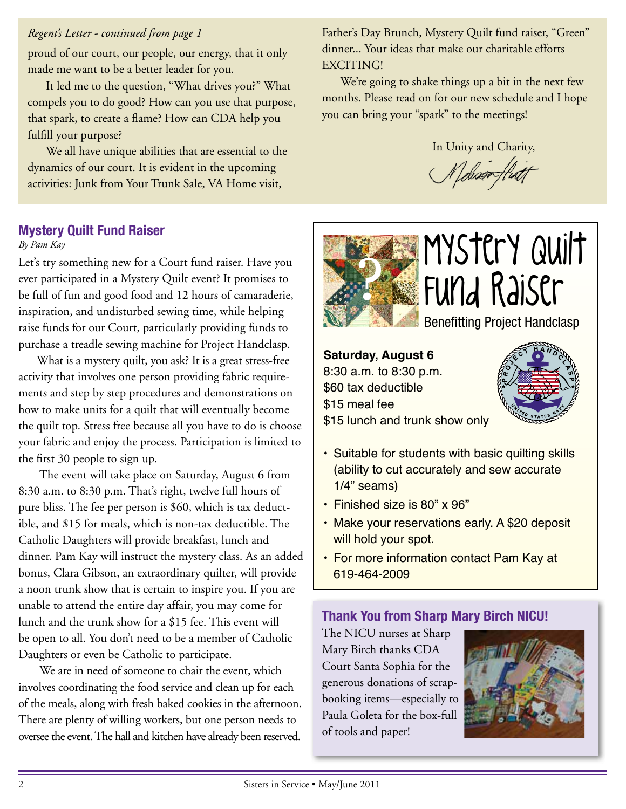#### *Regent's Letter - continued from page 1*

proud of our court, our people, our energy, that it only made me want to be a better leader for you.

It led me to the question, "What drives you?" What compels you to do good? How can you use that purpose, that spark, to create a flame? How can CDA help you fulfill your purpose?

We all have unique abilities that are essential to the dynamics of our court. It is evident in the upcoming activities: Junk from Your Trunk Sale, VA Home visit,

Father's Day Brunch, Mystery Quilt fund raiser, "Green" dinner... Your ideas that make our charitable efforts EXCITING!

We're going to shake things up a bit in the next few months. Please read on for our new schedule and I hope you can bring your "spark" to the meetings!

In Unity and Charity,

(Nelsont.

#### **Mystery Quilt Fund Raiser**

#### *By Pam Kay*

Let's try something new for a Court fund raiser. Have you ever participated in a Mystery Quilt event? It promises to be full of fun and good food and 12 hours of camaraderie, inspiration, and undisturbed sewing time, while helping raise funds for our Court, particularly providing funds to purchase a treadle sewing machine for Project Handclasp.

What is a mystery quilt, you ask? It is a great stress-free activity that involves one person providing fabric requirements and step by step procedures and demonstrations on how to make units for a quilt that will eventually become the quilt top. Stress free because all you have to do is choose your fabric and enjoy the process. Participation is limited to the first 30 people to sign up.

 The event will take place on Saturday, August 6 from 8:30 a.m. to 8:30 p.m. That's right, twelve full hours of pure bliss. The fee per person is \$60, which is tax deductible, and \$15 for meals, which is non-tax deductible. The Catholic Daughters will provide breakfast, lunch and dinner. Pam Kay will instruct the mystery class. As an added bonus, Clara Gibson, an extraordinary quilter, will provide a noon trunk show that is certain to inspire you. If you are unable to attend the entire day affair, you may come for lunch and the trunk show for a \$15 fee. This event will be open to all. You don't need to be a member of Catholic Daughters or even be Catholic to participate.

 We are in need of someone to chair the event, which involves coordinating the food service and clean up for each of the meals, along with fresh baked cookies in the afternoon. There are plenty of willing workers, but one person needs to oversee the event. The hall and kitchen have already been reserved.



# ? Mystery Quilt Fund Raiser

Benefitting Project Handclasp

**Saturday, August 6** 8:30 a.m. to 8:30 p.m. \$60 tax deductible \$15 meal fee \$15 lunch and trunk show only



- Suitable for students with basic quilting skills (ability to cut accurately and sew accurate 1/4" seams)
- Finished size is 80" x 96"
- Make your reservations early. A \$20 deposit will hold your spot.
- For more information contact Pam Kay at 619-464-2009

#### **Thank You from Sharp Mary Birch NICU!**

The NICU nurses at Sharp Mary Birch thanks CDA Court Santa Sophia for the generous donations of scrapbooking items—especially to Paula Goleta for the box-full of tools and paper!

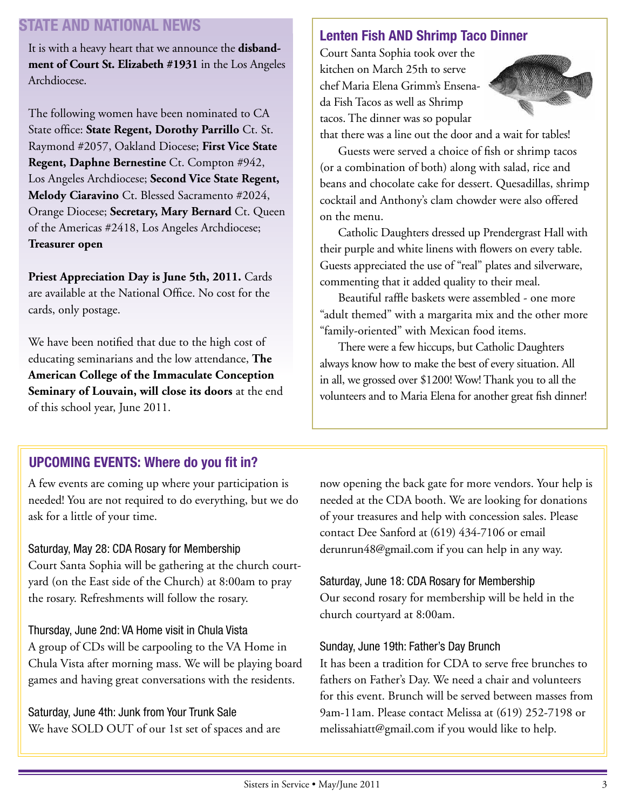#### **STATE AND NATIONAL NEWS**

It is with a heavy heart that we announce the **disbandment of Court St. Elizabeth #1931** in the Los Angeles Archdiocese.

The following women have been nominated to CA State office: **State Regent, Dorothy Parrillo** Ct. St. Raymond #2057, Oakland Diocese; **First Vice State Regent, Daphne Bernestine** Ct. Compton #942, Los Angeles Archdiocese; **Second Vice State Regent, Melody Ciaravino** Ct. Blessed Sacramento #2024, Orange Diocese; **Secretary, Mary Bernard** Ct. Queen of the Americas #2418, Los Angeles Archdiocese; **Treasurer open**

Priest Appreciation Day is June 5th, 2011. Cards are available at the National Office. No cost for the cards, only postage.

We have been notified that due to the high cost of educating seminarians and the low attendance, **The American College of the Immaculate Conception Seminary of Louvain, will close its doors** at the end of this school year, June 2011.

#### **Lenten Fish AND Shrimp Taco Dinner**

Court Santa Sophia took over the kitchen on March 25th to serve chef Maria Elena Grimm's Ensenada Fish Tacos as well as Shrimp tacos. The dinner was so popular



that there was a line out the door and a wait for tables!

Guests were served a choice of fish or shrimp tacos (or a combination of both) along with salad, rice and beans and chocolate cake for dessert. Quesadillas, shrimp cocktail and Anthony's clam chowder were also offered on the menu.

Catholic Daughters dressed up Prendergrast Hall with their purple and white linens with flowers on every table. Guests appreciated the use of "real" plates and silverware, commenting that it added quality to their meal.

Beautiful raffle baskets were assembled - one more "adult themed" with a margarita mix and the other more "family-oriented" with Mexican food items.

There were a few hiccups, but Catholic Daughters always know how to make the best of every situation. All in all, we grossed over \$1200! Wow! Thank you to all the volunteers and to Maria Elena for another great fish dinner!

#### **UPCOMING EVENTS: Where do you fit in?**

A few events are coming up where your participation is needed! You are not required to do everything, but we do ask for a little of your time.

#### Saturday, May 28: CDA Rosary for Membership

Court Santa Sophia will be gathering at the church courtyard (on the East side of the Church) at 8:00am to pray the rosary. Refreshments will follow the rosary.

#### Thursday, June 2nd: VA Home visit in Chula Vista

A group of CDs will be carpooling to the VA Home in Chula Vista after morning mass. We will be playing board games and having great conversations with the residents.

Saturday, June 4th: Junk from Your Trunk Sale We have SOLD OUT of our 1st set of spaces and are now opening the back gate for more vendors. Your help is needed at the CDA booth. We are looking for donations of your treasures and help with concession sales. Please contact Dee Sanford at (619) 434-7106 or email derunrun48@gmail.com if you can help in any way.

Saturday, June 18: CDA Rosary for Membership Our second rosary for membership will be held in the church courtyard at 8:00am.

#### Sunday, June 19th: Father's Day Brunch

It has been a tradition for CDA to serve free brunches to fathers on Father's Day. We need a chair and volunteers for this event. Brunch will be served between masses from 9am-11am. Please contact Melissa at (619) 252-7198 or melissahiatt@gmail.com if you would like to help.